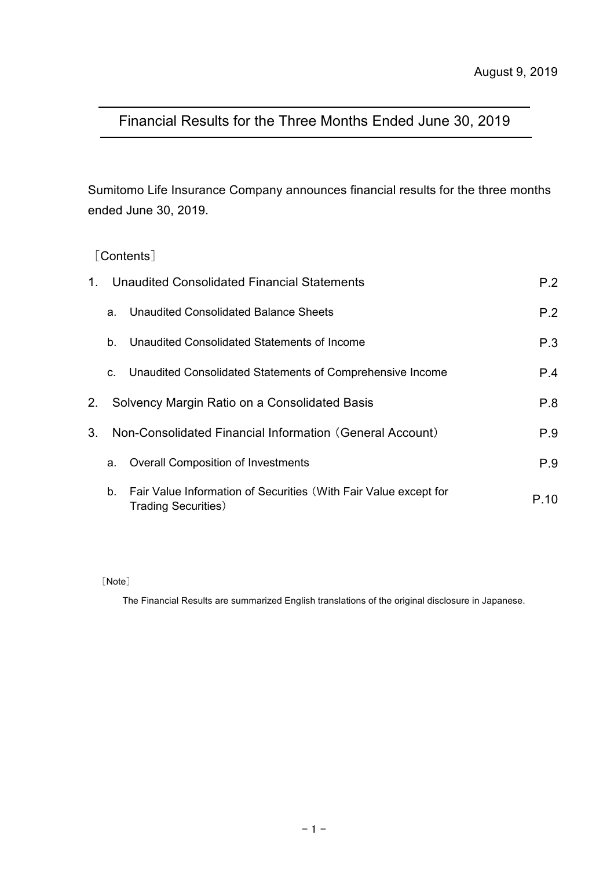# Financial Results for the Three Months Ended June 30, 2019

Sumitomo Life Insurance Company announces financial results for the three months ended June 30, 2019.

### [Contents]

| $1_{-}$        |    | Unaudited Consolidated Financial Statements                                                     | P.2  |
|----------------|----|-------------------------------------------------------------------------------------------------|------|
|                | a. | Unaudited Consolidated Balance Sheets                                                           | P.2  |
|                | b. | Unaudited Consolidated Statements of Income                                                     | P.3  |
|                | C. | Unaudited Consolidated Statements of Comprehensive Income                                       | P.4  |
| 2.             |    | Solvency Margin Ratio on a Consolidated Basis                                                   | P.8  |
| 3 <sub>1</sub> |    | Non-Consolidated Financial Information (General Account)                                        | P.9  |
|                | a. | <b>Overall Composition of Investments</b>                                                       | P.9  |
|                | b. | Fair Value Information of Securities (With Fair Value except for<br><b>Trading Securities</b> ) | P.10 |

[Note]

The Financial Results are summarized English translations of the original disclosure in Japanese.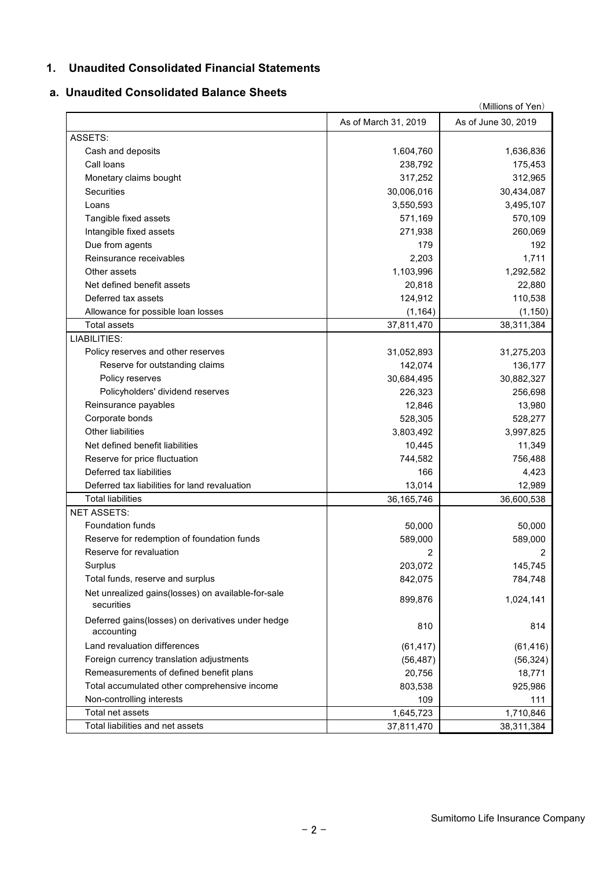### **1. Unaudited Consolidated Financial Statements**

### **a. Unaudited Consolidated Balance Sheets**

|                                                                  | (Millions of Yen)    |                      |  |  |  |
|------------------------------------------------------------------|----------------------|----------------------|--|--|--|
|                                                                  | As of March 31, 2019 | As of June 30, 2019  |  |  |  |
| ASSETS:                                                          |                      |                      |  |  |  |
| Cash and deposits                                                | 1,604,760            | 1,636,836            |  |  |  |
| Call loans                                                       | 238,792              | 175,453              |  |  |  |
| Monetary claims bought                                           | 317,252              | 312,965              |  |  |  |
| <b>Securities</b>                                                | 30,006,016           | 30,434,087           |  |  |  |
| Loans                                                            | 3,550,593            | 3,495,107            |  |  |  |
| Tangible fixed assets                                            | 571,169              | 570,109              |  |  |  |
| Intangible fixed assets                                          | 271,938              | 260,069              |  |  |  |
| Due from agents                                                  | 179                  | 192                  |  |  |  |
| Reinsurance receivables                                          | 2,203                | 1,711                |  |  |  |
| Other assets                                                     | 1,103,996            | 1,292,582            |  |  |  |
| Net defined benefit assets                                       | 20,818               | 22,880               |  |  |  |
| Deferred tax assets                                              | 124,912              | 110,538              |  |  |  |
| Allowance for possible loan losses                               | (1, 164)             | (1, 150)             |  |  |  |
| <b>Total assets</b>                                              | 37,811,470           | 38,311,384           |  |  |  |
| LIABILITIES:                                                     |                      |                      |  |  |  |
| Policy reserves and other reserves                               | 31,052,893           | 31,275,203           |  |  |  |
| Reserve for outstanding claims                                   | 142,074              | 136,177              |  |  |  |
| Policy reserves                                                  | 30,684,495           | 30,882,327           |  |  |  |
| Policyholders' dividend reserves                                 | 226,323              | 256,698              |  |  |  |
| Reinsurance payables                                             | 12,846               | 13,980               |  |  |  |
| Corporate bonds                                                  | 528,305              | 528,277              |  |  |  |
| Other liabilities                                                | 3,803,492            | 3,997,825            |  |  |  |
| Net defined benefit liabilities                                  | 10,445               | 11,349               |  |  |  |
| Reserve for price fluctuation                                    | 744,582              | 756,488              |  |  |  |
| Deferred tax liabilities                                         | 166                  | 4,423                |  |  |  |
| Deferred tax liabilities for land revaluation                    |                      |                      |  |  |  |
| <b>Total liabilities</b>                                         | 13,014<br>36,165,746 | 12,989<br>36,600,538 |  |  |  |
| <b>NET ASSETS:</b>                                               |                      |                      |  |  |  |
| <b>Foundation funds</b>                                          |                      |                      |  |  |  |
|                                                                  | 50,000<br>589,000    | 50,000               |  |  |  |
| Reserve for redemption of foundation funds                       |                      | 589,000              |  |  |  |
| Reserve for revaluation                                          | 2                    | 2                    |  |  |  |
| Surplus                                                          | 203,072              | 145,745              |  |  |  |
| Total funds, reserve and surplus                                 | 842,075              | 784,748              |  |  |  |
| Net unrealized gains(losses) on available-for-sale<br>securities | 899,876              | 1,024,141            |  |  |  |
| Deferred gains(losses) on derivatives under hedge<br>accounting  | 810                  | 814                  |  |  |  |
| Land revaluation differences                                     | (61, 417)            | (61, 416)            |  |  |  |
| Foreign currency translation adjustments                         | (56, 487)            | (56, 324)            |  |  |  |
| Remeasurements of defined benefit plans                          | 20,756               | 18,771               |  |  |  |
| Total accumulated other comprehensive income                     | 803,538              | 925,986              |  |  |  |
| Non-controlling interests                                        | 109                  | 111                  |  |  |  |
| Total net assets                                                 | 1,645,723            | 1,710,846            |  |  |  |
| Total liabilities and net assets                                 | 37,811,470           | 38,311,384           |  |  |  |
|                                                                  |                      |                      |  |  |  |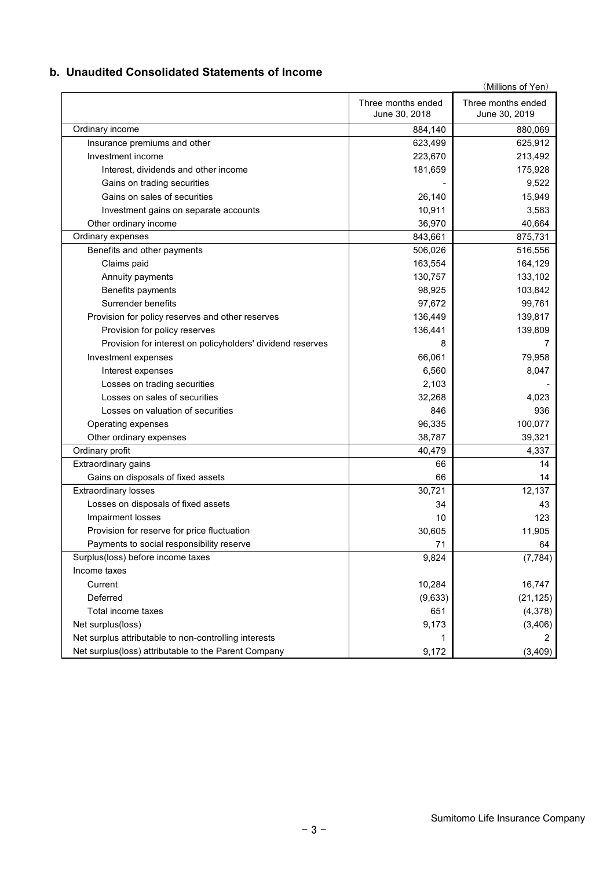### **b. Unaudited Consolidated Statements of Income**

|                                                            |                                     | (Millions of Yen)                   |
|------------------------------------------------------------|-------------------------------------|-------------------------------------|
|                                                            | Three months ended<br>June 30, 2018 | Three months ended<br>June 30, 2019 |
| Ordinary income                                            | 884,140                             | 880,069                             |
| Insurance premiums and other                               | 623,499                             | 625,912                             |
| Investment income                                          | 223,670                             | 213,492                             |
| Interest, dividends and other income                       | 181,659                             | 175,928                             |
| Gains on trading securities                                |                                     | 9,522                               |
| Gains on sales of securities                               | 26,140                              | 15,949                              |
| Investment gains on separate accounts                      | 10,911                              | 3,583                               |
| Other ordinary income                                      | 36,970                              | 40,664                              |
| Ordinary expenses                                          | 843,661                             | 875,731                             |
| Benefits and other payments                                | 506,026                             | 516,556                             |
| Claims paid                                                | 163,554                             | 164,129                             |
| Annuity payments                                           | 130,757                             | 133,102                             |
| Benefits payments                                          | 98,925                              | 103,842                             |
| Surrender benefits                                         | 97,672                              | 99,761                              |
| Provision for policy reserves and other reserves           | 136,449                             | 139,817                             |
| Provision for policy reserves                              | 136,441                             | 139,809                             |
| Provision for interest on policyholders' dividend reserves | 8                                   | 7                                   |
| Investment expenses                                        | 66,061                              | 79,958                              |
| Interest expenses                                          | 6,560                               | 8,047                               |
| Losses on trading securities                               | 2,103                               |                                     |
| Losses on sales of securities                              | 32,268                              | 4,023                               |
| Losses on valuation of securities                          | 846                                 | 936                                 |
| Operating expenses                                         | 96,335                              | 100,077                             |
| Other ordinary expenses                                    | 38,787                              | 39,321                              |
| Ordinary profit                                            | 40,479                              | 4,337                               |
| Extraordinary gains                                        | 66                                  | 14                                  |
| Gains on disposals of fixed assets                         | 66                                  | 14                                  |
| <b>Extraordinary losses</b>                                | 30,721                              | 12,137                              |
| Losses on disposals of fixed assets                        | 34                                  | 43                                  |
| Impairment losses                                          | 10                                  | 123                                 |
| Provision for reserve for price fluctuation                | 30,605                              | 11,905                              |
| Payments to social responsibility reserve                  | 71                                  | 64                                  |
| Surplus(loss) before income taxes                          | 9,824                               | (7, 784)                            |
| Income taxes                                               |                                     |                                     |
| Current                                                    | 10,284                              | 16,747                              |
| Deferred                                                   | (9,633)                             | (21, 125)                           |
| Total income taxes                                         | 651                                 | (4,378)                             |
| Net surplus(loss)                                          | 9,173                               | (3, 406)                            |
| Net surplus attributable to non-controlling interests      |                                     |                                     |
| Net surplus(loss) attributable to the Parent Company       | 9,172                               | (3,409)                             |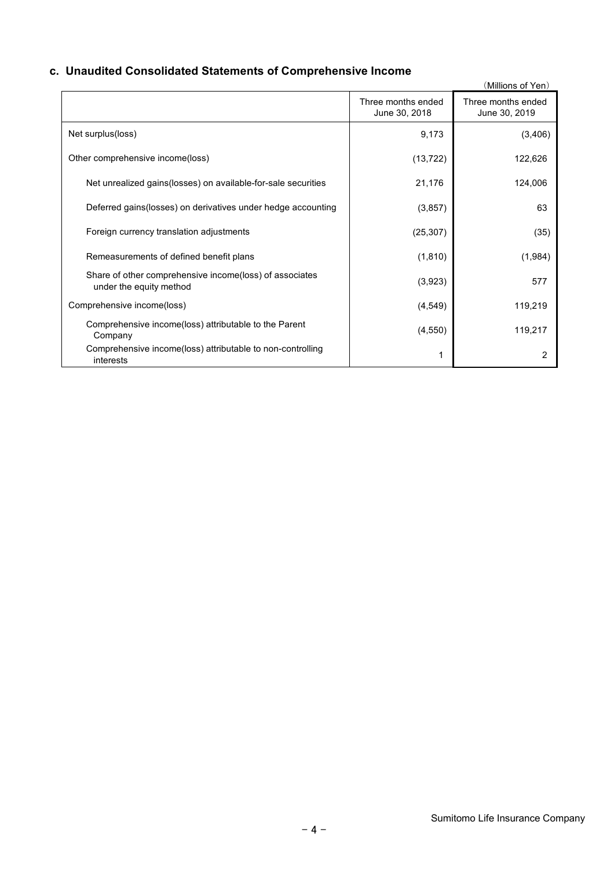# **c. Unaudited Consolidated Statements of Comprehensive Income**

|                                                                                    |                                     | (Millions of Yen)                   |
|------------------------------------------------------------------------------------|-------------------------------------|-------------------------------------|
|                                                                                    | Three months ended<br>June 30, 2018 | Three months ended<br>June 30, 2019 |
| Net surplus(loss)                                                                  | 9,173                               | (3,406)                             |
| Other comprehensive income(loss)                                                   | (13, 722)                           | 122,626                             |
| Net unrealized gains (losses) on available-for-sale securities                     | 21,176                              | 124,006                             |
| Deferred gains (losses) on derivatives under hedge accounting                      | (3,857)                             | 63                                  |
| Foreign currency translation adjustments                                           | (25, 307)                           | (35)                                |
| Remeasurements of defined benefit plans                                            | (1, 810)                            | (1,984)                             |
| Share of other comprehensive income(loss) of associates<br>under the equity method | (3,923)                             | 577                                 |
| Comprehensive income(loss)                                                         | (4, 549)                            | 119,219                             |
| Comprehensive income(loss) attributable to the Parent<br>Company                   | (4, 550)                            | 119,217                             |
| Comprehensive income(loss) attributable to non-controlling<br>interests            |                                     | 2                                   |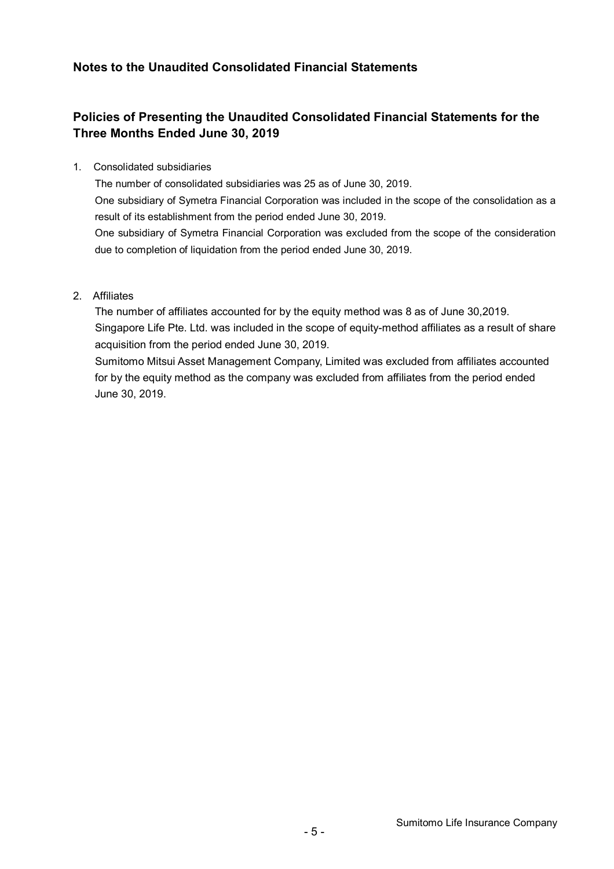### **Notes to the Unaudited Consolidated Financial Statements**

## **Policies of Presenting the Unaudited Consolidated Financial Statements for the Three Months Ended June 30, 2019**

1. Consolidated subsidiaries

The number of consolidated subsidiaries was 25 as of June 30, 2019.

One subsidiary of Symetra Financial Corporation was included in the scope of the consolidation as a result of its establishment from the period ended June 30, 2019.

One subsidiary of Symetra Financial Corporation was excluded from the scope of the consideration due to completion of liquidation from the period ended June 30, 2019.

#### 2. Affiliates

The number of affiliates accounted for by the equity method was 8 as of June 30,2019. Singapore Life Pte. Ltd. was included in the scope of equity-method affiliates as a result of share acquisition from the period ended June 30, 2019.

Sumitomo Mitsui Asset Management Company, Limited was excluded from affiliates accounted for by the equity method as the company was excluded from affiliates from the period ended June 30, 2019.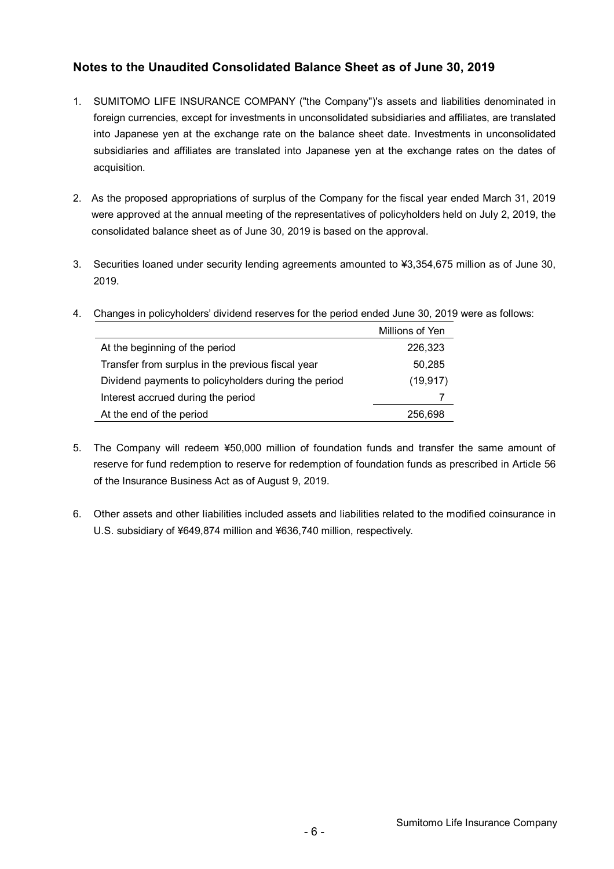### **Notes to the Unaudited Consolidated Balance Sheet as of June 30, 2019**

- 1. SUMITOMO LIFE INSURANCE COMPANY ("the Company")'s assets and liabilities denominated in foreign currencies, except for investments in unconsolidated subsidiaries and affiliates, are translated into Japanese yen at the exchange rate on the balance sheet date. Investments in unconsolidated subsidiaries and affiliates are translated into Japanese yen at the exchange rates on the dates of acquisition.
- 2. As the proposed appropriations of surplus of the Company for the fiscal year ended March 31, 2019 were approved at the annual meeting of the representatives of policyholders held on July 2, 2019, the consolidated balance sheet as of June 30, 2019 is based on the approval.
- 3. Securities loaned under security lending agreements amounted to ¥3,354,675 million as of June 30, 2019.

|                                                      | Millions of Yen |
|------------------------------------------------------|-----------------|
| At the beginning of the period                       | 226.323         |
| Transfer from surplus in the previous fiscal year    | 50,285          |
| Dividend payments to policyholders during the period | (19, 917)       |
| Interest accrued during the period                   |                 |
| At the end of the period                             | 256.698         |

4. Changes in policyholders' dividend reserves for the period ended June 30, 2019 were as follows:

- 5. The Company will redeem ¥50,000 million of foundation funds and transfer the same amount of reserve for fund redemption to reserve for redemption of foundation funds as prescribed in Article 56 of the Insurance Business Act as of August 9, 2019.
- 6. Other assets and other liabilities included assets and liabilities related to the modified coinsurance in U.S. subsidiary of ¥649,874 million and ¥636,740 million, respectively.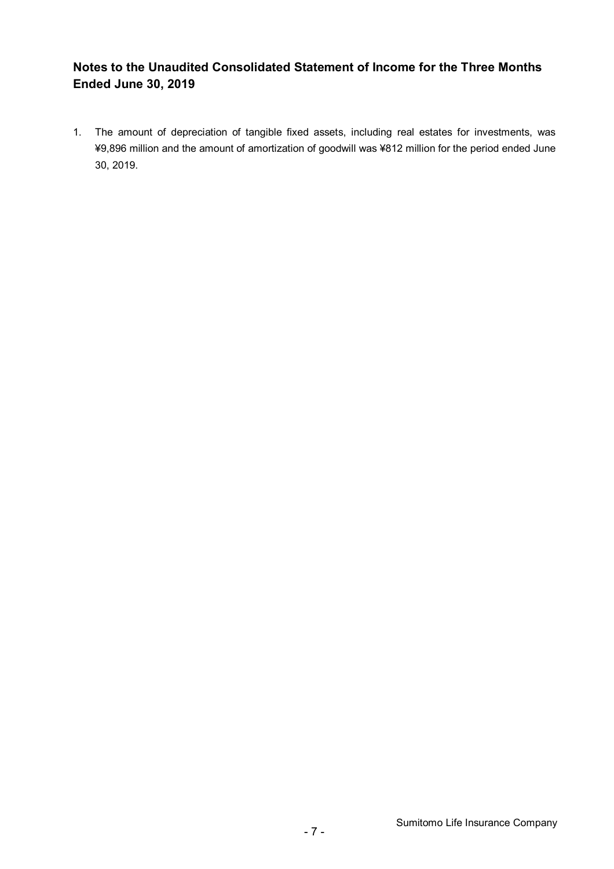### **Notes to the Unaudited Consolidated Statement of Income for the Three Months Ended June 30, 2019**

1. The amount of depreciation of tangible fixed assets, including real estates for investments, was ¥9,896 million and the amount of amortization of goodwill was ¥812 million for the period ended June 30, 2019.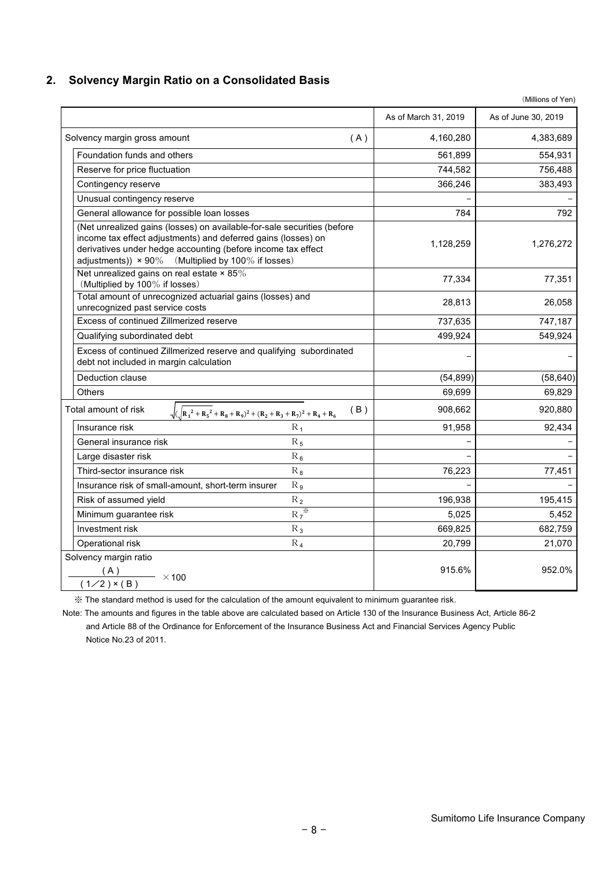### **2. Solvency Margin Ratio on a Consolidated Basis**

|                                                                                                                                                                                                                                                                       |     | As of March 31, 2019 | As of June 30, 2019 |
|-----------------------------------------------------------------------------------------------------------------------------------------------------------------------------------------------------------------------------------------------------------------------|-----|----------------------|---------------------|
| Solvency margin gross amount                                                                                                                                                                                                                                          | (A) | 4,160,280            | 4,383,689           |
| Foundation funds and others                                                                                                                                                                                                                                           |     | 561,899              | 554,931             |
| Reserve for price fluctuation                                                                                                                                                                                                                                         |     | 744,582              | 756,488             |
| Contingency reserve                                                                                                                                                                                                                                                   |     | 366,246              | 383,493             |
| Unusual contingency reserve                                                                                                                                                                                                                                           |     |                      |                     |
| General allowance for possible loan losses                                                                                                                                                                                                                            |     | 784                  | 792                 |
| (Net unrealized gains (losses) on available-for-sale securities (before<br>income tax effect adjustments) and deferred gains (losses) on<br>derivatives under hedge accounting (before income tax effect<br>adjustments)) $\times$ 90% (Multiplied by 100% if losses) |     | 1,128,259            | 1,276,272           |
| Net unrealized gains on real estate $\times$ 85%<br>(Multiplied by 100% if losses)                                                                                                                                                                                    |     | 77,334               | 77,351              |
| Total amount of unrecognized actuarial gains (losses) and<br>unrecognized past service costs                                                                                                                                                                          |     | 28,813               | 26,058              |
| Excess of continued Zillmerized reserve                                                                                                                                                                                                                               |     | 737,635              | 747,187             |
| Qualifying subordinated debt                                                                                                                                                                                                                                          |     | 499,924              | 549,924             |
| Excess of continued Zillmerized reserve and qualifying subordinated<br>debt not included in margin calculation                                                                                                                                                        |     |                      |                     |
| Deduction clause                                                                                                                                                                                                                                                      |     | (54, 899)            | (58, 640)           |
| <b>Others</b>                                                                                                                                                                                                                                                         |     | 69,699               | 69,829              |
| Total amount of risk<br>$\sqrt{(R_1^2+R_5^2+R_8+R_9)^2+(R_2+R_3+R_7)^2+R_4+R_6)}$                                                                                                                                                                                     | (B) | 908,662              | 920,880             |
| $R_{1}$<br>Insurance risk                                                                                                                                                                                                                                             |     | 91,958               | 92,434              |
| General insurance risk<br>$R_5$                                                                                                                                                                                                                                       |     |                      |                     |
| $R_6$<br>Large disaster risk                                                                                                                                                                                                                                          |     |                      |                     |
| $R_8$<br>Third-sector insurance risk                                                                                                                                                                                                                                  |     | 76,223               | 77,451              |
| Insurance risk of small-amount, short-term insurer<br>$R_{9}$                                                                                                                                                                                                         |     |                      |                     |
| Risk of assumed yield<br>$R_2$                                                                                                                                                                                                                                        |     | 196,938              | 195,415             |
| $R_7$ *<br>Minimum guarantee risk                                                                                                                                                                                                                                     |     | 5,025                | 5,452               |
| Investment risk<br>$R_3$                                                                                                                                                                                                                                              |     | 669,825              | 682,759             |
| Operational risk<br>$R_4$                                                                                                                                                                                                                                             |     | 20,799               | 21,070              |
| Solvency margin ratio<br>(A)<br>$\longrightarrow$ ×100<br>$(1/2)$ × (B)                                                                                                                                                                                               |     | 915.6%               | 952.0%              |
|                                                                                                                                                                                                                                                                       |     |                      |                     |

※ The standard method is used for the calculation of the amount equivalent to minimum guarantee risk.

Note: The amounts and figures in the table above are calculated based on Article 130 of the Insurance Business Act, Article 86-2 and Article 88 of the Ordinance for Enforcement of the Insurance Business Act and Financial Services Agency Public Notice No.23 of 2011.

(Millions of Yen)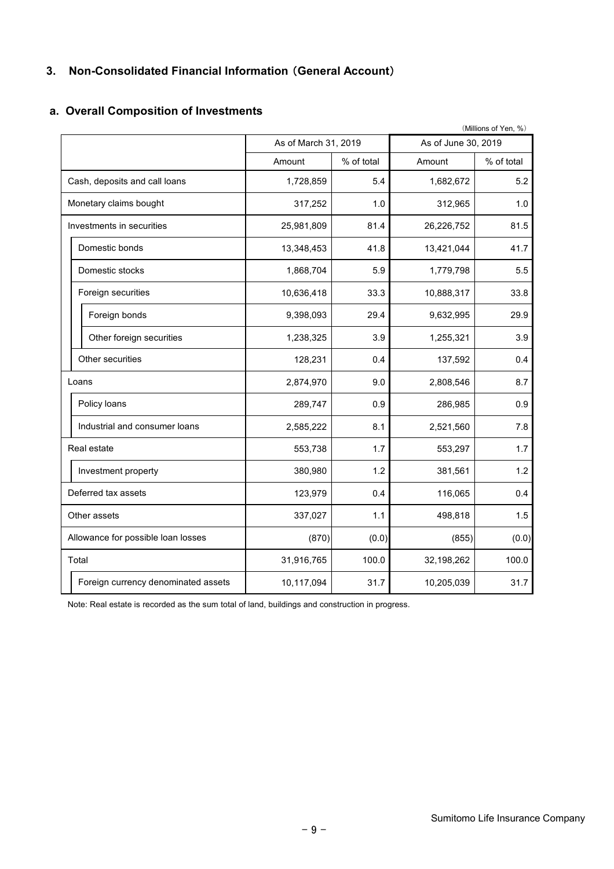### **3. Non-Consolidated Financial Information** (**General Account**)

|                                     |                      |            |                     | (Millions of Yen, %) |  |
|-------------------------------------|----------------------|------------|---------------------|----------------------|--|
|                                     | As of March 31, 2019 |            | As of June 30, 2019 |                      |  |
|                                     | Amount               | % of total | Amount              | % of total           |  |
| Cash, deposits and call loans       | 1,728,859            | 5.4        | 1,682,672           | 5.2                  |  |
| Monetary claims bought              | 317,252              | 1.0        | 312,965             | 1.0                  |  |
| Investments in securities           | 25,981,809           | 81.4       | 26,226,752          | 81.5                 |  |
| Domestic bonds                      | 13,348,453           | 41.8       | 13,421,044          | 41.7                 |  |
| Domestic stocks                     | 1,868,704            | 5.9        | 1,779,798           | 5.5                  |  |
| Foreign securities                  | 10,636,418           | 33.3       | 10,888,317          | 33.8                 |  |
| Foreign bonds                       | 9,398,093            | 29.4       | 9,632,995           | 29.9                 |  |
| Other foreign securities            | 1,238,325            | 3.9        | 1,255,321           | 3.9                  |  |
| Other securities                    | 128,231              | 0.4        | 137,592             | 0.4                  |  |
| Loans                               | 2,874,970            | 9.0        | 2,808,546           | 8.7                  |  |
| Policy loans                        | 289,747              | 0.9        | 286,985             | 0.9                  |  |
| Industrial and consumer loans       | 2,585,222            | 8.1        | 2,521,560           | 7.8                  |  |
| Real estate                         | 553,738              | 1.7        | 553,297             | 1.7                  |  |
| Investment property                 | 380,980              | 1.2        | 381,561             | 1.2                  |  |
| Deferred tax assets                 | 123,979              | 0.4        | 116,065             | 0.4                  |  |
| Other assets                        | 337,027              | 1.1        | 498,818             | 1.5                  |  |
| Allowance for possible loan losses  | (870)                | (0.0)      | (855)               | (0.0)                |  |
| Total                               | 31,916,765           | 100.0      | 32,198,262          | 100.0                |  |
| Foreign currency denominated assets | 10,117,094           | 31.7       | 10,205,039          | 31.7                 |  |

### **a. Overall Composition of Investments**

Note: Real estate is recorded as the sum total of land, buildings and construction in progress.